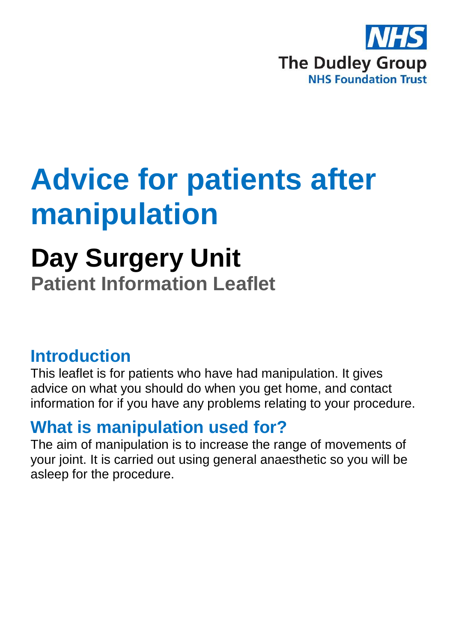

## **Advice for patients after manipulation**

# **Day Surgery Unit**

**Patient Information Leaflet**

#### **Introduction**

This leaflet is for patients who have had manipulation. It gives advice on what you should do when you get home, and contact information for if you have any problems relating to your procedure.

#### **What is manipulation used for?**

The aim of manipulation is to increase the range of movements of your joint. It is carried out using general anaesthetic so you will be asleep for the procedure.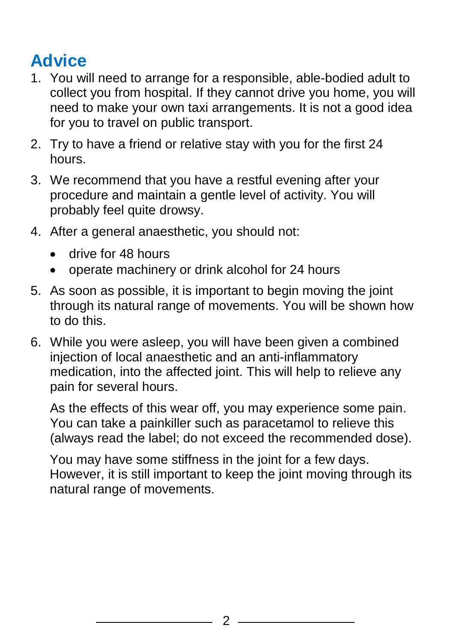### **Advice**

- 1. You will need to arrange for a responsible, able-bodied adult to collect you from hospital. If they cannot drive you home, you will need to make your own taxi arrangements. It is not a good idea for you to travel on public transport.
- 2. Try to have a friend or relative stay with you for the first 24 hours.
- 3. We recommend that you have a restful evening after your procedure and maintain a gentle level of activity. You will probably feel quite drowsy.
- 4. After a general anaesthetic, you should not:
	- drive for 48 hours
	- operate machinery or drink alcohol for 24 hours
- 5. As soon as possible, it is important to begin moving the joint through its natural range of movements. You will be shown how to do this.
- 6. While you were asleep, you will have been given a combined injection of local anaesthetic and an anti-inflammatory medication, into the affected joint. This will help to relieve any pain for several hours.

As the effects of this wear off, you may experience some pain. You can take a painkiller such as paracetamol to relieve this (always read the label; do not exceed the recommended dose).

You may have some stiffness in the joint for a few days. However, it is still important to keep the joint moving through its natural range of movements.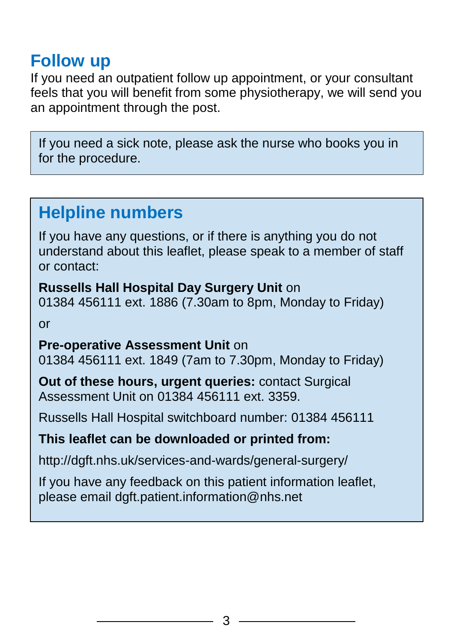#### **Follow up**

If you need an outpatient follow up appointment, or your consultant feels that you will benefit from some physiotherapy, we will send you an appointment through the post.

If you need a sick note, please ask the nurse who books you in for the procedure.

#### **Helpline numbers**

If you have any questions, or if there is anything you do not understand about this leaflet, please speak to a member of staff or contact:

**Russells Hall Hospital Day Surgery Unit** on 01384 456111 ext. 1886 (7.30am to 8pm, Monday to Friday) or

**Pre-operative Assessment Unit** on 01384 456111 ext. 1849 (7am to 7.30pm, Monday to Friday)

**Out of these hours, urgent queries:** contact Surgical Assessment Unit on 01384 456111 ext. 3359.

Russells Hall Hospital switchboard number: 01384 456111

#### **This leaflet can be downloaded or printed from:**

http://dgft.nhs.uk/services-and-wards/general-surgery/

If you have any feedback on this patient information leaflet, please email dgft.patient.information@nhs.net